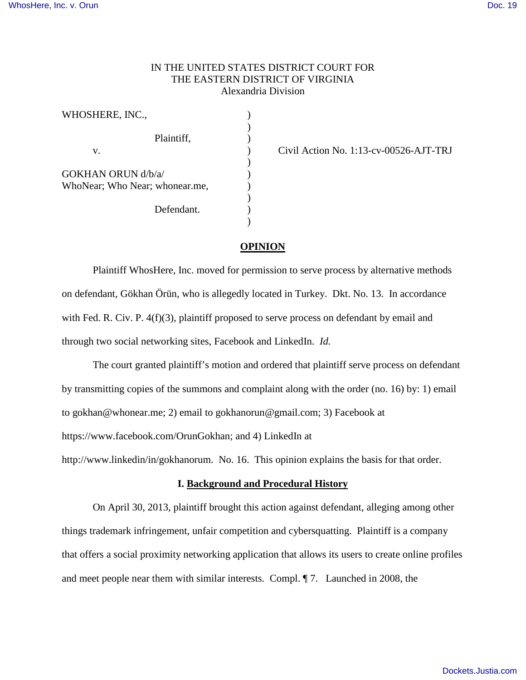## IN THE UNITED STATES DISTRICT COURT FOR THE EASTERN DISTRICT OF VIRGINIA Alexandria Division

| WHOSHERE, INC.,                |  |
|--------------------------------|--|
|                                |  |
| Plaintiff,                     |  |
| v.                             |  |
|                                |  |
| GOKHAN ORUN d/b/a/             |  |
| WhoNear; Who Near; whonear.me, |  |
|                                |  |
| Defendant.                     |  |
|                                |  |

Civil Action No. 1:13-cv-00526-AJT-TRJ

### **OPINION**

Plaintiff WhosHere, Inc. moved for permission to serve process by alternative methods on defendant, Gökhan Örün, who is allegedly located in Turkey. Dkt. No. 13. In accordance with Fed. R. Civ. P. 4(f)(3), plaintiff proposed to serve process on defendant by email and through two social networking sites, Facebook and LinkedIn. *Id.*

The court granted plaintiff's motion and ordered that plaintiff serve process on defendant by transmitting copies of the summons and complaint along with the order (no. 16) by: 1) email to [gokhan@whonear.me;](mailto:gokhan@whonear.me) 2) email to [gokhanorun@gmail.com;](mailto:gokhanorun@gmail.com) 3) Facebook at [https://www.facebook.com/OrunGokhan;](https://www.facebook.com/OrunGokhan) and 4) LinkedIn at

[http://www.linkedin/in/gokhanorum.](http://www.linkedin/in/gokhanorum) No. 16. This opinion explains the basis for that order.

### **I. Background and Procedural History**

On April 30, 2013, plaintiff brought this action against defendant, alleging among other things trademark infringement, unfair competition and cybersquatting. Plaintiff is a company that offers a social proximity networking application that allows its users to create online profiles and meet people near them with similar interests. Compl. ¶ 7. Launched in 2008, the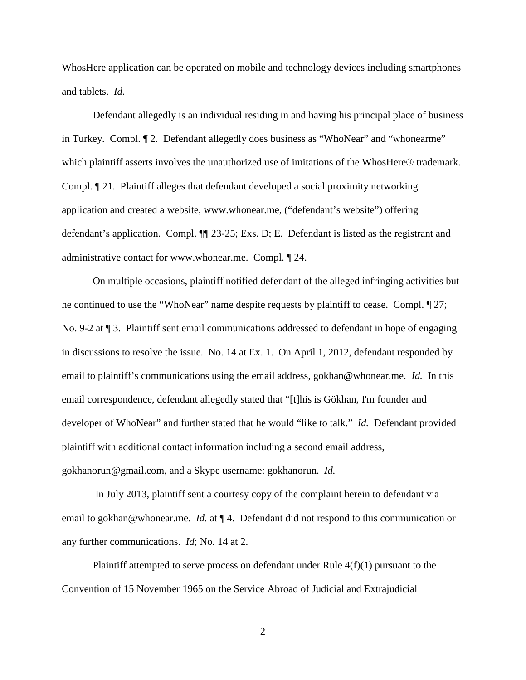WhosHere application can be operated on mobile and technology devices including smartphones and tablets. *Id.*

Defendant allegedly is an individual residing in and having his principal place of business in Turkey. Compl. ¶ 2. Defendant allegedly does business as "WhoNear" and "whonearme" which plaintiff asserts involves the unauthorized use of imitations of the WhosHere® trademark. Compl. ¶ 21. Plaintiff alleges that defendant developed a social proximity networking application and created a website, [www.whonear.me,](http://www.whonear.me/) ("defendant's website") offering defendant's application. Compl. ¶¶ 23-25; Exs. D; E. Defendant is listed as the registrant and administrative contact for www.whonear.me. Compl. ¶ 24.

On multiple occasions, plaintiff notified defendant of the alleged infringing activities but he continued to use the "WhoNear" name despite requests by plaintiff to cease. Compl. ¶ 27; No. 9-2 at ¶ 3. Plaintiff sent email communications addressed to defendant in hope of engaging in discussions to resolve the issue. No. 14 at Ex. 1. On April 1, 2012, defendant responded by email to plaintiff's communications using the email address, gokhan@whonear.me. *Id.* In this email correspondence, defendant allegedly stated that "[t]his is Gökhan, I'm founder and developer of WhoNear" and further stated that he would "like to talk." *Id.* Defendant provided plaintiff with additional contact information including a second email address, [gokhanorun@gmail.com,](mailto:gokhanorun@gmail.com) and a Skype username: gokhanorun. *Id.*

 In July 2013, plaintiff sent a courtesy copy of the complaint herein to defendant via email to [gokhan@whonear.me.](mailto:gokhan@whonear.me) *Id.* at ¶ 4. Defendant did not respond to this communication or any further communications. *Id*; No. 14 at 2.

Plaintiff attempted to serve process on defendant under Rule 4(f)(1) pursuant to the Convention of 15 November 1965 on the Service Abroad of Judicial and Extrajudicial

2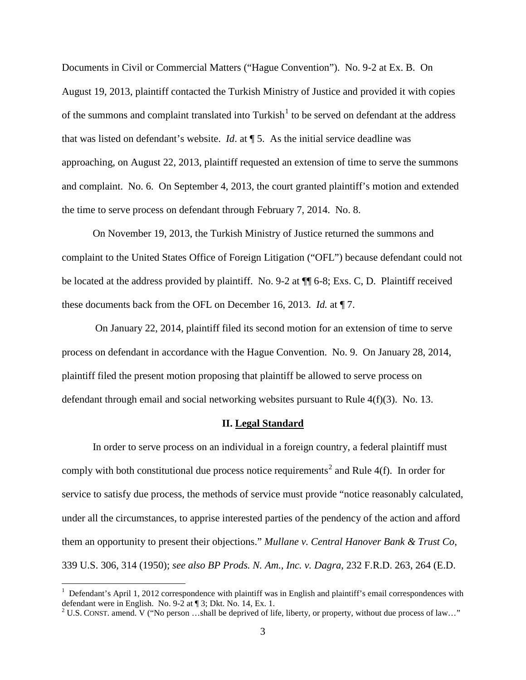Documents in Civil or Commercial Matters ("Hague Convention"). No. 9-2 at Ex. B. On August 19, 2013, plaintiff contacted the Turkish Ministry of Justice and provided it with copies of the summons and complaint translated into Turkish<sup>[1](#page-2-0)</sup> to be served on defendant at the address that was listed on defendant's website. *Id*. at ¶ 5. As the initial service deadline was approaching, on August 22, 2013, plaintiff requested an extension of time to serve the summons and complaint. No. 6. On September 4, 2013, the court granted plaintiff's motion and extended the time to serve process on defendant through February 7, 2014. No. 8.

On November 19, 2013, the Turkish Ministry of Justice returned the summons and complaint to the United States Office of Foreign Litigation ("OFL") because defendant could not be located at the address provided by plaintiff. No. 9-2 at ¶¶ 6-8; Exs. C, D. Plaintiff received these documents back from the OFL on December 16, 2013. *Id.* at ¶ 7.

 On January 22, 2014, plaintiff filed its second motion for an extension of time to serve process on defendant in accordance with the Hague Convention. No. 9. On January 28, 2014, plaintiff filed the present motion proposing that plaintiff be allowed to serve process on defendant through email and social networking websites pursuant to Rule 4(f)(3). No. 13.

#### **II. Legal Standard**

In order to serve process on an individual in a foreign country, a federal plaintiff must comply with both constitutional due process notice requirements<sup>[2](#page-2-1)</sup> and Rule  $4(f)$ . In order for service to satisfy due process, the methods of service must provide "notice reasonably calculated, under all the circumstances, to apprise interested parties of the pendency of the action and afford them an opportunity to present their objections." *Mullane v. Central Hanover Bank & Trust Co*, 339 U.S. 306, 314 (1950); *see also BP Prods. N. Am., Inc. v. Dagra*, 232 F.R.D. 263, 264 (E.D.

<u>.</u>

<span id="page-2-0"></span><sup>&</sup>lt;sup>1</sup> Defendant's April 1, 2012 correspondence with plaintiff was in English and plaintiff's email correspondences with defendant were in English. No. 9-2 at ¶ 3; Dkt. No. 14, Ex. 1.

<span id="page-2-1"></span><sup>&</sup>lt;sup>2</sup> U.S. CONST. amend. V ("No person ...shall be deprived of life, liberty, or property, without due process of law..."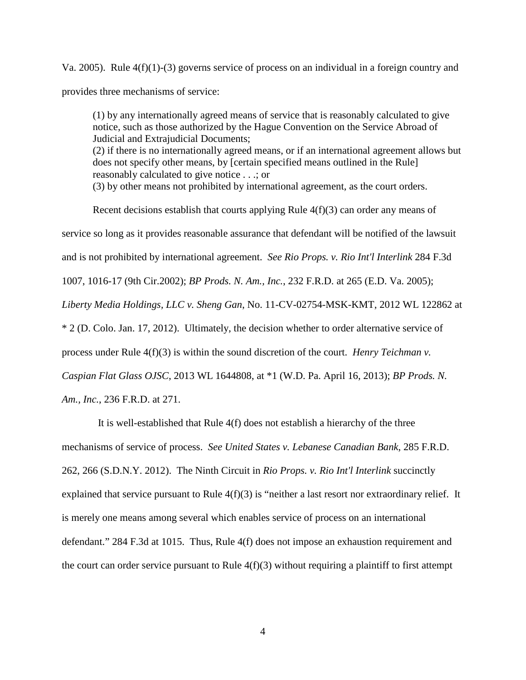Va. 2005). Rule 4(f)(1)-(3) governs service of process on an individual in a foreign country and provides three mechanisms of service:

(1) by any internationally agreed means of service that is reasonably calculated to give notice, such as those authorized by the Hague Convention on the Service Abroad of Judicial and Extrajudicial Documents; (2) if there is no internationally agreed means, or if an international agreement allows but does not specify other means, by [certain specified means outlined in the Rule] reasonably calculated to give notice . . .; or (3) by other means not prohibited by international agreement, as the court orders.

Recent decisions establish that courts applying Rule 4(f)(3) can order any means of service so long as it provides reasonable assurance that defendant will be notified of the lawsuit and is not prohibited by international agreement. *See Rio Props. v. Rio Int'l Interlink* 284 F.3d 1007, 1016-17 (9th Cir.2002); *BP Prods. N. Am., Inc.*, 232 F.R.D. at 265 (E.D. Va. 2005); *Liberty Media Holdings, LLC v. Sheng Gan*, No. 11-CV-02754-MSK-KMT, 2012 WL 122862 at \* 2 (D. Colo. Jan. 17, 2012). Ultimately, the decision whether to order alternative service of process under Rule 4(f)(3) is within the sound discretion of the court. *Henry Teichman v. Caspian Flat Glass OJSC*, 2013 WL 1644808, at \*1 (W.D. Pa. April 16, 2013); *BP Prods. N. Am., Inc.*, 236 F.R.D. at 271.

 It is well-established that Rule 4(f) does not establish a hierarchy of the three mechanisms of service of process. *See United States v. Lebanese Canadian Bank*, 285 F.R.D. 262, 266 (S.D.N.Y. 2012). The Ninth Circuit in *Rio Props. v. Rio Int'l Interlink* succinctly explained that service pursuant to Rule  $4(f)(3)$  is "neither a last resort nor extraordinary relief. It is merely one means among several which enables service of process on an international defendant." 284 F.3d at 1015. Thus, Rule 4(f) does not impose an exhaustion requirement and the court can order service pursuant to Rule  $4(f)(3)$  without requiring a plaintiff to first attempt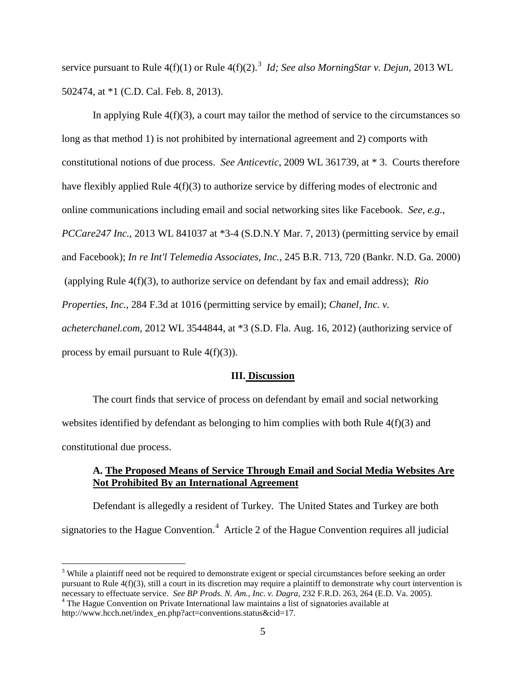service pursuant to Rule 4(f)(1) or Rule 4(f)(2).<sup>[3](#page-4-0)</sup> *Id; See also MorningStar v. Dejun*, 2013 WL 502474, at \*1 (C.D. Cal. Feb. 8, 2013).

In applying Rule  $4(f)(3)$ , a court may tailor the method of service to the circumstances so long as that method 1) is not prohibited by international agreement and 2) comports with constitutional notions of due process. *See Anticevtic*, 2009 WL 361739, at \* 3. Courts therefore have flexibly applied Rule 4(f)(3) to authorize service by differing modes of electronic and online communications including email and social networking sites like Facebook. *See, e.g.*, *PCCare247 Inc.*, 2013 WL 841037 at \*3-4 (S.D.N.Y Mar. 7, 2013) (permitting service by email and Facebook); *In re Int'l Telemedia Associates, Inc.*, 245 B.R. 713, 720 (Bankr. N.D. Ga. 2000) (applying Rule 4(f)(3), to authorize service on defendant by fax and email address); *Rio Properties, Inc.*, 284 F.3d at 1016 (permitting service by email); *Chanel, Inc. v. acheterchanel.com*, 2012 WL 3544844, at \*3 (S.D. Fla. Aug. 16, 2012) (authorizing service of process by email pursuant to Rule  $4(f)(3)$ ).

#### **III. Discussion**

 The court finds that service of process on defendant by email and social networking websites identified by defendant as belonging to him complies with both Rule  $4(f)(3)$  and constitutional due process.

### **A. The Proposed Means of Service Through Email and Social Media Websites Are Not Prohibited By an International Agreement**

Defendant is allegedly a resident of Turkey. The United States and Turkey are both signatories to the Hague Convention.<sup>[4](#page-4-1)</sup> Article 2 of the Hague Convention requires all judicial

 $\overline{a}$ 

<span id="page-4-0"></span><sup>&</sup>lt;sup>3</sup> While a plaintiff need not be required to demonstrate exigent or special circumstances before seeking an order pursuant to Rule  $4(f)(3)$ , still a court in its discretion may require a plaintiff to demonstrate why court intervention is necessary to effectuate service. *See BP Prods. N. Am., Inc. v. Dagra*, 232 F.R.D. 263, 264 (E.D. Va. 2005). <sup>4</sup> The Hague Convention on Private International law maintains a list of signatories available at

<span id="page-4-1"></span>http://www.hcch.net/index\_en.php?act=conventions.status&cid=17.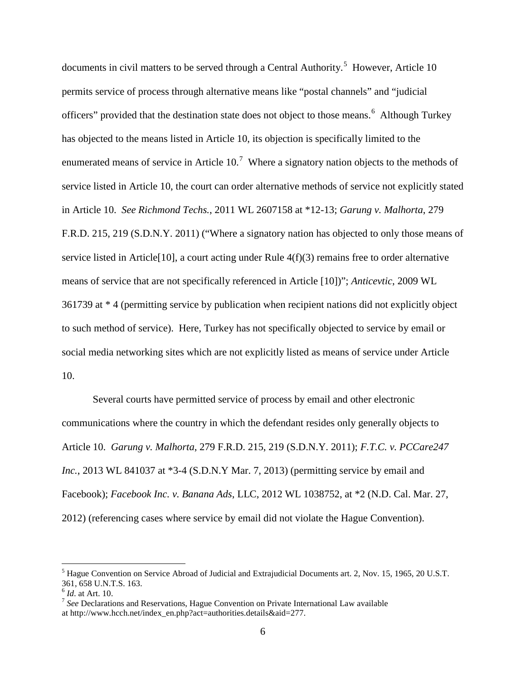documents in civil matters to be served through a Central Authority.<sup>[5](#page-5-0)</sup> However, Article 10 permits service of process through alternative means like "postal channels" and "judicial officers" provided that the destination state does not object to those means.<sup>[6](#page-5-1)</sup> Although Turkey has objected to the means listed in Article 10, its objection is specifically limited to the enumerated means of service in Article  $10<sup>7</sup>$  $10<sup>7</sup>$  $10<sup>7</sup>$  Where a signatory nation objects to the methods of service listed in Article 10, the court can order alternative methods of service not explicitly stated in Article 10. *See Richmond Techs.*, 2011 WL 2607158 at \*12-13; *Garung v. Malhorta*, 279 F.R.D. 215, 219 (S.D.N.Y. 2011) ("Where a signatory nation has objected to only those means of service listed in Article<sup>[10]</sup>, a court acting under Rule  $4(f)(3)$  remains free to order alternative means of service that are not specifically referenced in Article [10])"; *Anticevtic*, 2009 WL 361739 at \* 4 (permitting service by publication when recipient nations did not explicitly object to such method of service). Here, Turkey has not specifically objected to service by email or social media networking sites which are not explicitly listed as means of service under Article 10.

Several courts have permitted service of process by email and other electronic communications where the country in which the defendant resides only generally objects to Article 10. *Garung v. Malhorta*, 279 F.R.D. 215, 219 (S.D.N.Y. 2011); *F.T.C. v. PCCare247 Inc.*, 2013 WL 841037 at \*3-4 (S.D.N.Y Mar. 7, 2013) (permitting service by email and Facebook); *Facebook Inc. v. Banana Ads*, LLC, 2012 WL 1038752, at \*2 (N.D. Cal. Mar. 27, 2012) (referencing cases where service by email did not violate the Hague Convention).

 $\overline{a}$ 

<span id="page-5-0"></span><sup>5</sup> Hague Convention on Service Abroad of Judicial and Extrajudicial Documents art. 2, Nov. 15, 1965, 20 U.S.T. 361, 658 U.N.T.S. 163.

<span id="page-5-1"></span><sup>6</sup> *Id*. at Art. 10.

<span id="page-5-2"></span><sup>7</sup> *See* Declarations and Reservations, Hague Convention on Private International Law available at http://www.hcch.net/index\_en.php?act=authorities.details&aid=277.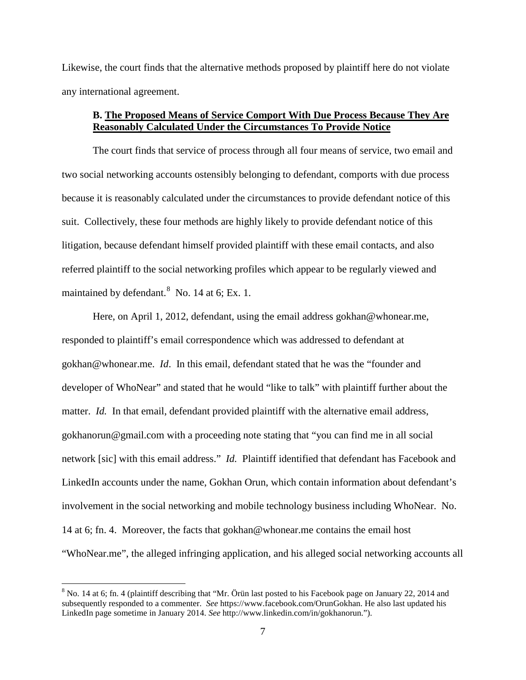Likewise, the court finds that the alternative methods proposed by plaintiff here do not violate any international agreement.

## **B. The Proposed Means of Service Comport With Due Process Because They Are Reasonably Calculated Under the Circumstances To Provide Notice**

The court finds that service of process through all four means of service, two email and two social networking accounts ostensibly belonging to defendant, comports with due process because it is reasonably calculated under the circumstances to provide defendant notice of this suit. Collectively, these four methods are highly likely to provide defendant notice of this litigation, because defendant himself provided plaintiff with these email contacts, and also referred plaintiff to the social networking profiles which appear to be regularly viewed and maintained by defendant.<sup>[8](#page-6-0)</sup> No. 14 at 6; Ex. 1.

Here, on April 1, 2012, defendant, using the email address [gokhan@whonear.me,](mailto:gokhan@whonear.me) responded to plaintiff's email correspondence which was addressed to defendant at gokhan@whonear.me. *Id*. In this email, defendant stated that he was the "founder and developer of WhoNear" and stated that he would "like to talk" with plaintiff further about the matter. *Id.* In that email, defendant provided plaintiff with the alternative email address, [gokhanorun@gmail.com](mailto:gokhanorun@gmail.com) with a proceeding note stating that "you can find me in all social network [sic] with this email address." *Id.* Plaintiff identified that defendant has Facebook and LinkedIn accounts under the name, Gokhan Orun, which contain information about defendant's involvement in the social networking and mobile technology business including WhoNear. No. 14 at 6; fn. 4. Moreover, the facts that gokhan@whonear.me contains the email host "WhoNear.me", the alleged infringing application, and his alleged social networking accounts all

<u>.</u>

<span id="page-6-0"></span> $8$  No. 14 at 6; fn. 4 (plaintiff describing that "Mr. Örün last posted to his Facebook page on January 22, 2014 and subsequently responded to a commenter. *See* https://www.facebook.com/OrunGokhan. He also last updated his LinkedIn page sometime in January 2014. *See* http://www.linkedin.com/in/gokhanorun.").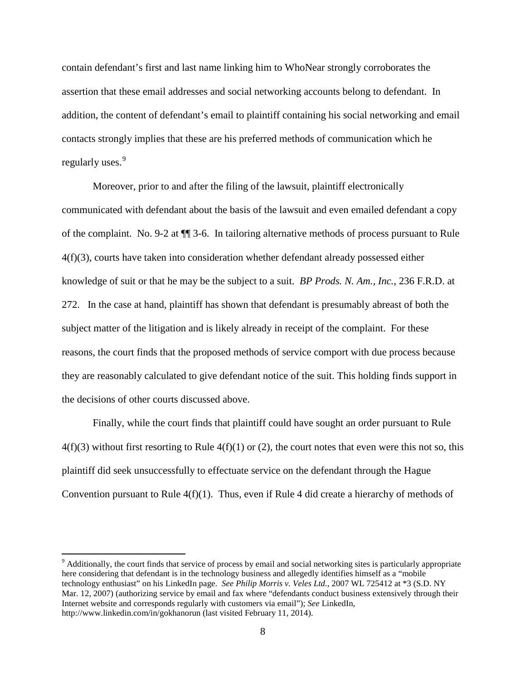contain defendant's first and last name linking him to WhoNear strongly corroborates the assertion that these email addresses and social networking accounts belong to defendant. In addition, the content of defendant's email to plaintiff containing his social networking and email contacts strongly implies that these are his preferred methods of communication which he regularly uses.<sup>[9](#page-7-0)</sup>

Moreover, prior to and after the filing of the lawsuit, plaintiff electronically communicated with defendant about the basis of the lawsuit and even emailed defendant a copy of the complaint. No. 9-2 at ¶¶ 3-6. In tailoring alternative methods of process pursuant to Rule 4(f)(3), courts have taken into consideration whether defendant already possessed either knowledge of suit or that he may be the subject to a suit. *BP Prods. N. Am., Inc.*, 236 F.R.D. at 272. In the case at hand, plaintiff has shown that defendant is presumably abreast of both the subject matter of the litigation and is likely already in receipt of the complaint. For these reasons, the court finds that the proposed methods of service comport with due process because they are reasonably calculated to give defendant notice of the suit. This holding finds support in the decisions of other courts discussed above.

Finally, while the court finds that plaintiff could have sought an order pursuant to Rule  $4(f)(3)$  without first resorting to Rule  $4(f)(1)$  or (2), the court notes that even were this not so, this plaintiff did seek unsuccessfully to effectuate service on the defendant through the Hague Convention pursuant to Rule 4(f)(1). Thus, even if Rule 4 did create a hierarchy of methods of

 $\overline{a}$ 

<span id="page-7-0"></span><sup>9</sup> Additionally, the court finds that service of process by email and social networking sites is particularly appropriate here considering that defendant is in the technology business and allegedly identifies himself as a "mobile technology enthusiast" on his LinkedIn page. *See Philip Morris v. Veles Ltd.*, 2007 WL 725412 at \*3 (S.D. NY Mar. 12, 2007) (authorizing service by email and fax where "defendants conduct business extensively through their Internet website and corresponds regularly with customers via email"); *See* LinkedIn, http://www.linkedin.com/in/gokhanorun (last visited February 11, 2014).